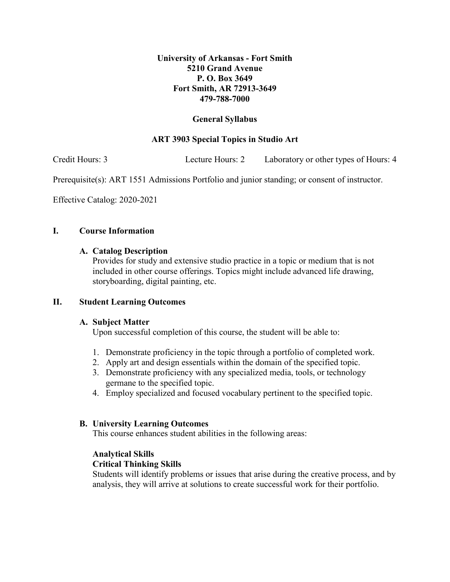# **University of Arkansas - Fort Smith 5210 Grand Avenue P. O. Box 3649 Fort Smith, AR 72913-3649 479-788-7000**

# **General Syllabus**

# **ART 3903 Special Topics in Studio Art**

Credit Hours: 3 Lecture Hours: 2 Laboratory or other types of Hours: 4

Prerequisite(s): ART 1551 Admissions Portfolio and junior standing; or consent of instructor.

Effective Catalog: 2020-2021

## **I. Course Information**

### **A. Catalog Description**

Provides for study and extensive studio practice in a topic or medium that is not included in other course offerings. Topics might include advanced life drawing, storyboarding, digital painting, etc.

### **II. Student Learning Outcomes**

### **A. Subject Matter**

Upon successful completion of this course, the student will be able to:

- 1. Demonstrate proficiency in the topic through a portfolio of completed work.
- 2. Apply art and design essentials within the domain of the specified topic.
- 3. Demonstrate proficiency with any specialized media, tools, or technology germane to the specified topic.
- 4. Employ specialized and focused vocabulary pertinent to the specified topic.

### **B. University Learning Outcomes**

This course enhances student abilities in the following areas:

# **Analytical Skills**

### **Critical Thinking Skills**

Students will identify problems or issues that arise during the creative process, and by analysis, they will arrive at solutions to create successful work for their portfolio.